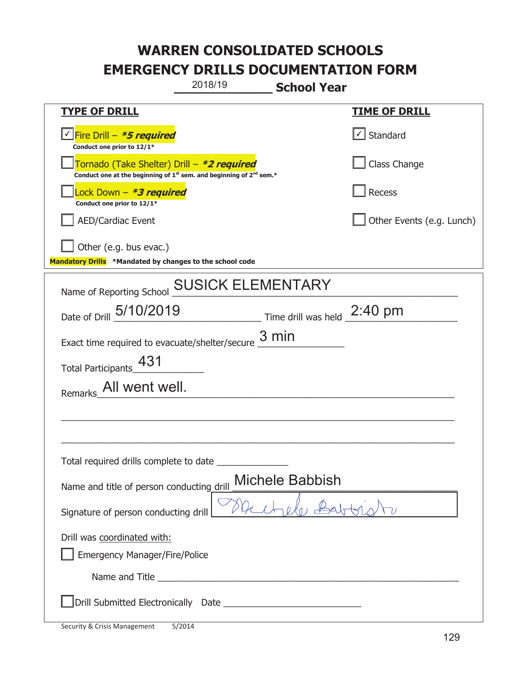|                                                                                                                                           | 2018/19                  | <b>School Year</b>         |                                   |
|-------------------------------------------------------------------------------------------------------------------------------------------|--------------------------|----------------------------|-----------------------------------|
| <b>TYPE OF DRILL</b>                                                                                                                      |                          |                            | <u>TIME OF DRILL</u>              |
| <u>√ Fire Drill – <i>*5 required</i></u><br>Conduct one prior to 12/1*                                                                    |                          |                            | $\lfloor \angle \rfloor$ Standard |
| Tornado (Take Shelter) Drill – *2 required<br>Conduct one at the beginning of 1 <sup>st</sup> sem. and beginning of 2 <sup>nd</sup> sem.* |                          |                            | Class Change                      |
| Lock Down - <b>*3 required</b><br>Conduct one prior to 12/1*                                                                              |                          |                            | <b>Recess</b>                     |
| <b>AED/Cardiac Event</b>                                                                                                                  |                          |                            | Other Events (e.g. Lunch)         |
| Other (e.g. bus evac.)<br>Mandatory Drills *Mandated by changes to the school code                                                        |                          |                            |                                   |
| Name of Reporting School                                                                                                                  | <b>SUSICK ELEMENTARY</b> |                            |                                   |
| Date of Drill 5/10/2019                                                                                                                   |                          | $\frac{2:40 \text{ pm}}{}$ |                                   |
| Exact time required to evacuate/shelter/secure                                                                                            |                          | $3 \text{ min}$            |                                   |
| Total Participants_431                                                                                                                    |                          |                            |                                   |
| Remarks_All went well.                                                                                                                    |                          |                            |                                   |
|                                                                                                                                           |                          |                            |                                   |
|                                                                                                                                           |                          |                            |                                   |
| Total required drills complete to date _                                                                                                  |                          |                            |                                   |
| Name and title of person conducting drill                                                                                                 |                          | Michele Babbish            |                                   |
| Signature of person conducting drill                                                                                                      |                          |                            |                                   |
| Drill was coordinated with:                                                                                                               |                          |                            |                                   |
| <b>Emergency Manager/Fire/Police</b>                                                                                                      |                          |                            |                                   |
|                                                                                                                                           |                          |                            |                                   |
|                                                                                                                                           |                          |                            |                                   |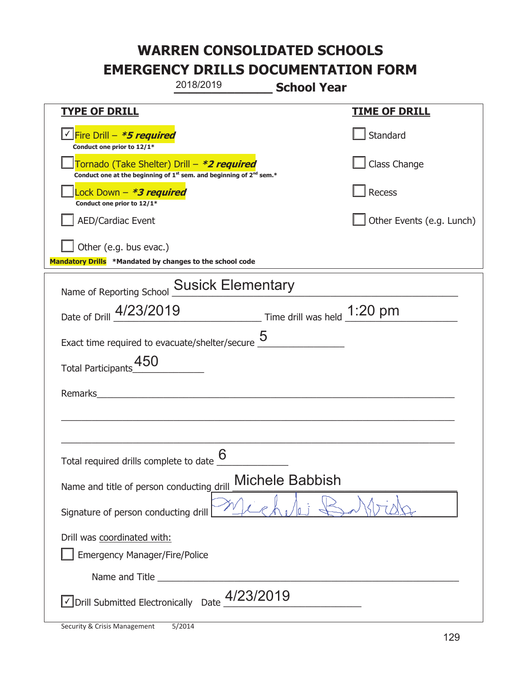|                                                                                    | 2018/2019                                                                                   | <b>School Year</b>     |                           |
|------------------------------------------------------------------------------------|---------------------------------------------------------------------------------------------|------------------------|---------------------------|
| <b>TYPE OF DRILL</b>                                                               |                                                                                             |                        | <b>TIME OF DRILL</b>      |
| Fire Drill - *5 required<br>Conduct one prior to 12/1*                             |                                                                                             |                        | Standard                  |
| Tornado (Take Shelter) Drill – *2 required                                         | Conduct one at the beginning of 1 <sup>st</sup> sem. and beginning of 2 <sup>nd</sup> sem.* |                        | Class Change              |
| Lock Down - <b>*3 required</b><br>Conduct one prior to 12/1*                       |                                                                                             |                        | Recess                    |
| <b>AED/Cardiac Event</b>                                                           |                                                                                             |                        | Other Events (e.g. Lunch) |
| Other (e.g. bus evac.)<br>Mandatory Drills *Mandated by changes to the school code |                                                                                             |                        |                           |
| Name of Reporting School Susick Elementary                                         |                                                                                             |                        |                           |
| Date of Drill 4/23/2019                                                            | $\frac{1:20 \text{ pm}}{2}$ Time drill was held $\frac{1:20 \text{ pm}}{2}$                 |                        |                           |
| Exact time required to evacuate/shelter/secure $5$                                 |                                                                                             |                        |                           |
| Total Participants_450                                                             |                                                                                             |                        |                           |
| Remarks                                                                            |                                                                                             |                        |                           |
|                                                                                    |                                                                                             |                        |                           |
|                                                                                    |                                                                                             |                        |                           |
| Total required drills complete to date $\frac{0}{0}$                               | 6                                                                                           |                        |                           |
| Name and title of person conducting drill                                          |                                                                                             | <b>Michele Babbish</b> |                           |
| Signature of person conducting drill                                               |                                                                                             |                        |                           |
| Drill was coordinated with:<br><b>Emergency Manager/Fire/Police</b>                |                                                                                             |                        |                           |
|                                                                                    |                                                                                             |                        |                           |
|                                                                                    | Drill Submitted Electronically Date $\frac{4/23/2019}{\sqrt{2}}$                            |                        |                           |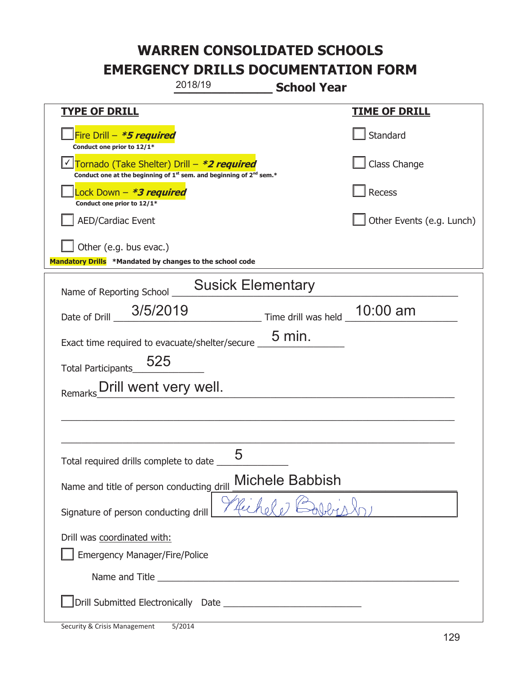| 2018/19                                                                                                                     | <b>School Year</b>                |
|-----------------------------------------------------------------------------------------------------------------------------|-----------------------------------|
| <b>TYPE OF DRILL</b>                                                                                                        | <u>TIME OF DRILL</u>              |
| Fire Drill – <i>*<b>5 required</b></i><br>Conduct one prior to 12/1*                                                        | Standard                          |
| Tornado (Take Shelter) Drill – *2 required<br>Conduct one at the beginning of $1^{st}$ sem. and beginning of $2^{nd}$ sem.* | Class Change                      |
| Lock Down – <b>*<i>3 required</i></b><br>Conduct one prior to 12/1*                                                         | Recess                            |
| <b>AED/Cardiac Event</b>                                                                                                    | Other Events (e.g. Lunch)         |
| Other (e.g. bus evac.)<br>Mandatory Drills *Mandated by changes to the school code                                          |                                   |
| <b>Susick Elementary</b><br>Name of Reporting School                                                                        |                                   |
| 3/5/2019<br>Date of Drill                                                                                                   | $10:00$ am<br>Time drill was held |
| Exact time required to evacuate/shelter/secure                                                                              | $5 \text{ min.}$                  |
| 525<br><b>Total Participants</b>                                                                                            |                                   |
| Drill went very well.<br>Remarks                                                                                            |                                   |
|                                                                                                                             |                                   |
|                                                                                                                             |                                   |
| Γ<br>Total required drills complete to date _                                                                               |                                   |
| Name and title of person conducting drill                                                                                   | Michele Babbish                   |
| Signature of person conducting drill                                                                                        | Richald                           |
| Drill was coordinated with:                                                                                                 |                                   |
| Emergency Manager/Fire/Police                                                                                               |                                   |
|                                                                                                                             |                                   |
|                                                                                                                             |                                   |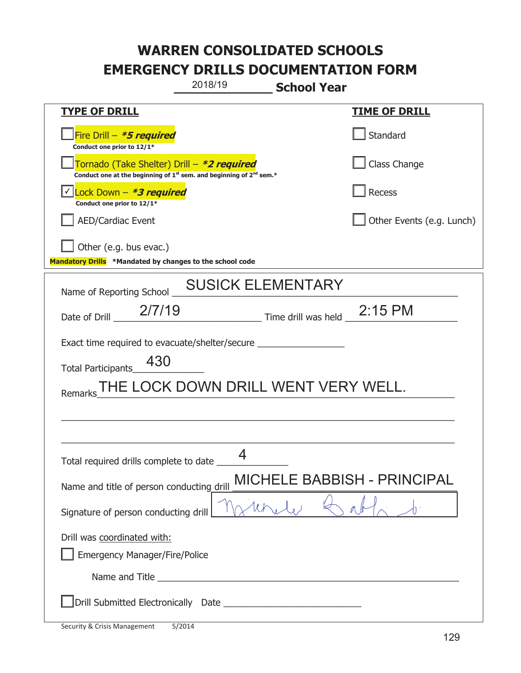|                                                                                                                                           | 2018/19<br><b>School Year</b>                                                    |                                    |
|-------------------------------------------------------------------------------------------------------------------------------------------|----------------------------------------------------------------------------------|------------------------------------|
| <b>TYPE OF DRILL</b>                                                                                                                      |                                                                                  | <b>TIME OF DRILL</b>               |
| Fire Drill - *5 required<br>Conduct one prior to 12/1*                                                                                    |                                                                                  | l Standard                         |
| Tornado (Take Shelter) Drill – *2 required<br>Conduct one at the beginning of 1 <sup>st</sup> sem. and beginning of 2 <sup>nd</sup> sem.* |                                                                                  | Class Change                       |
| Lock Down – <b>*3 required</b><br>Conduct one prior to 12/1*                                                                              |                                                                                  | Recess                             |
| <b>AED/Cardiac Event</b>                                                                                                                  |                                                                                  | Other Events (e.g. Lunch)          |
| Other (e.g. bus evac.)<br>Mandatory Drills *Mandated by changes to the school code                                                        |                                                                                  |                                    |
|                                                                                                                                           |                                                                                  |                                    |
| Name of Reporting School                                                                                                                  | <b>SUSICK ELEMENTARY</b>                                                         |                                    |
| 2/7/19<br>Date of Drill                                                                                                                   | Time drill was held 2:15 PM                                                      |                                    |
|                                                                                                                                           | Exact time required to evacuate/shelter/secure _________________________________ |                                    |
| 430<br><b>Total Participants</b>                                                                                                          |                                                                                  |                                    |
| Remarks                                                                                                                                   | THE LOCK DOWN DRILL WENT VERY WELL.                                              |                                    |
|                                                                                                                                           |                                                                                  |                                    |
|                                                                                                                                           |                                                                                  |                                    |
| Total required drills complete to date                                                                                                    | Δ                                                                                |                                    |
| Name and title of person conducting drill                                                                                                 |                                                                                  | <b>MICHELE BABBISH - PRINCIPAL</b> |
| Signature of person conducting drill                                                                                                      |                                                                                  |                                    |
| Drill was coordinated with:<br><b>Emergency Manager/Fire/Police</b>                                                                       |                                                                                  |                                    |
|                                                                                                                                           |                                                                                  |                                    |
|                                                                                                                                           |                                                                                  |                                    |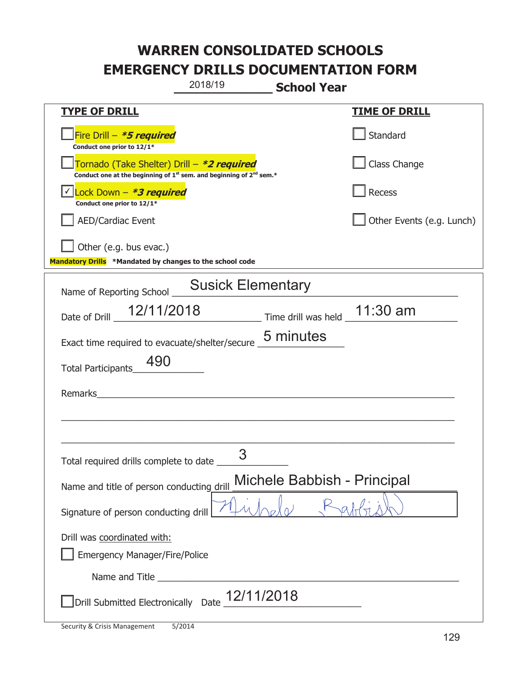|                                                                                                                                           | 2018/19                                                                                                             | <b>School Year</b>                                       |                           |
|-------------------------------------------------------------------------------------------------------------------------------------------|---------------------------------------------------------------------------------------------------------------------|----------------------------------------------------------|---------------------------|
| <b>TYPE OF DRILL</b>                                                                                                                      |                                                                                                                     |                                                          | <b>TIME OF DRILL</b>      |
| Fire Drill - *5 required<br>Conduct one prior to 12/1*                                                                                    |                                                                                                                     |                                                          | Standard                  |
| Tornado (Take Shelter) Drill – *2 required<br>Conduct one at the beginning of 1 <sup>st</sup> sem. and beginning of 2 <sup>nd</sup> sem.* |                                                                                                                     |                                                          | Class Change              |
| √ Lock Down - <b>*3 required</b><br>Conduct one prior to 12/1*                                                                            |                                                                                                                     |                                                          | Recess                    |
| <b>AED/Cardiac Event</b>                                                                                                                  |                                                                                                                     |                                                          | Other Events (e.g. Lunch) |
| Other (e.g. bus evac.)<br>Mandatory Drills *Mandated by changes to the school code                                                        |                                                                                                                     |                                                          |                           |
| Name of Reporting School                                                                                                                  | <b>Susick Elementary</b>                                                                                            |                                                          |                           |
| 12/11/2018<br>Date of Drill                                                                                                               |                                                                                                                     | $\frac{1}{2}$ Time drill was held $\frac{1}{2}$ 11:30 am |                           |
| Exact time required to evacuate/shelter/secure 5 minutes                                                                                  |                                                                                                                     |                                                          |                           |
| 490<br><b>Total Participants</b>                                                                                                          |                                                                                                                     |                                                          |                           |
| Remarks                                                                                                                                   | <u> 1980 - Johann Stoff, fransk kongresu og den som forskellige og den som forskellige og den som forskellige o</u> |                                                          |                           |
|                                                                                                                                           |                                                                                                                     |                                                          |                           |
|                                                                                                                                           |                                                                                                                     |                                                          |                           |
| Total required drills complete to date _                                                                                                  | З                                                                                                                   |                                                          |                           |
| Name and title of person conducting drill                                                                                                 |                                                                                                                     | Michele Babbish - Principal                              |                           |
| Signature of person conducting drill                                                                                                      |                                                                                                                     |                                                          |                           |
| Drill was coordinated with:<br><b>Emergency Manager/Fire/Police</b>                                                                       |                                                                                                                     |                                                          |                           |
|                                                                                                                                           |                                                                                                                     |                                                          |                           |
| Drill Submitted Electronically Date 12/11/2018                                                                                            |                                                                                                                     |                                                          |                           |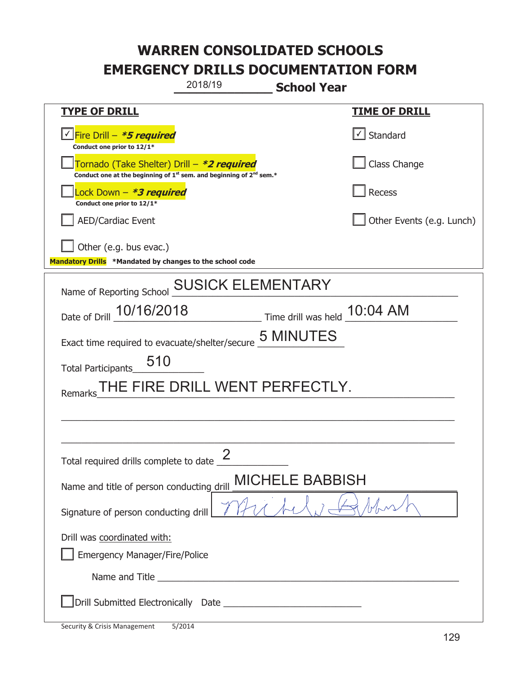|                                                                                                                                           | 2018/19                        | <b>School Year</b>           |                           |
|-------------------------------------------------------------------------------------------------------------------------------------------|--------------------------------|------------------------------|---------------------------|
| <b>TYPE OF DRILL</b>                                                                                                                      |                                |                              | <b>TIME OF DRILL</b>      |
| <u>√ Fire Drill – <i>*5 required</i></u><br>Conduct one prior to 12/1*                                                                    |                                |                              | √ Standard                |
| Tornado (Take Shelter) Drill – *2 required<br>Conduct one at the beginning of 1 <sup>st</sup> sem. and beginning of 2 <sup>nd</sup> sem.* |                                |                              | Class Change              |
| ock Down – <b>*3 required</b><br>Conduct one prior to 12/1*                                                                               |                                |                              | <b>Recess</b>             |
| <b>AED/Cardiac Event</b>                                                                                                                  |                                |                              | Other Events (e.g. Lunch) |
| Other (e.g. bus evac.)<br>Mandatory Drills *Mandated by changes to the school code                                                        |                                |                              |                           |
| Name of Reporting School                                                                                                                  | <b>SUSICK ELEMENTARY</b>       |                              |                           |
| Date of Drill 10/16/2018                                                                                                                  |                                | Time drill was held 10:04 AM |                           |
| Exact time required to evacuate/shelter/secure                                                                                            |                                | <b>5 MINUTES</b>             |                           |
| 510<br><b>Total Participants</b>                                                                                                          |                                |                              |                           |
| Remarks                                                                                                                                   | THE FIRE DRILL WENT PERFECTLY. |                              |                           |
|                                                                                                                                           |                                |                              |                           |
|                                                                                                                                           |                                |                              |                           |
| Total required drills complete to date $\frac{\epsilon}{\sqrt{2}}$                                                                        | $\mathcal{D}$                  |                              |                           |
| Name and title of person conducting drill                                                                                                 | <b>MICHEL</b>                  | E BABBISH.                   |                           |
| Signature of person conducting drill                                                                                                      |                                |                              |                           |
| Drill was coordinated with:<br><b>Emergency Manager/Fire/Police</b>                                                                       |                                |                              |                           |
|                                                                                                                                           |                                |                              |                           |
|                                                                                                                                           |                                |                              |                           |